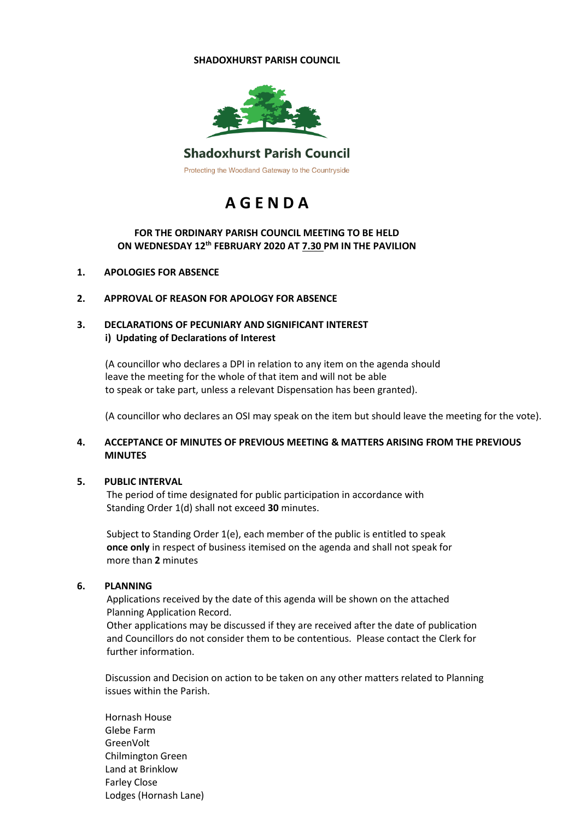#### **SHADOXHURST PARISH COUNCIL**



# **Shadoxhurst Parish Council**

Protecting the Woodland Gateway to the Countryside

# **A G E N D A**

# **FOR THE ORDINARY PARISH COUNCIL MEETING TO BE HELD ON WEDNESDAY 12 th FEBRUARY 2020 AT 7.30 PM IN THE PAVILION**

#### **1. APOLOGIES FOR ABSENCE**

#### **2. APPROVAL OF REASON FOR APOLOGY FOR ABSENCE**

# **3. DECLARATIONS OF PECUNIARY AND SIGNIFICANT INTEREST i) Updating of Declarations of Interest**

(A councillor who declares a DPI in relation to any item on the agenda should leave the meeting for the whole of that item and will not be able to speak or take part, unless a relevant Dispensation has been granted).

(A councillor who declares an OSI may speak on the item but should leave the meeting for the vote).

### **4. ACCEPTANCE OF MINUTES OF PREVIOUS MEETING & MATTERS ARISING FROM THE PREVIOUS MINUTES**

#### **5. PUBLIC INTERVAL**

The period of time designated for public participation in accordance with Standing Order 1(d) shall not exceed **30** minutes.

Subject to Standing Order 1(e), each member of the public is entitled to speak **once only** in respect of business itemised on the agenda and shall not speak for more than **2** minutes

#### **6. PLANNING**

Applications received by the date of this agenda will be shown on the attached Planning Application Record.

Other applications may be discussed if they are received after the date of publication and Councillors do not consider them to be contentious. Please contact the Clerk for further information.

Discussion and Decision on action to be taken on any other matters related to Planning issues within the Parish.

Hornash House Glebe Farm GreenVolt Chilmington Green Land at Brinklow Farley Close Lodges (Hornash Lane)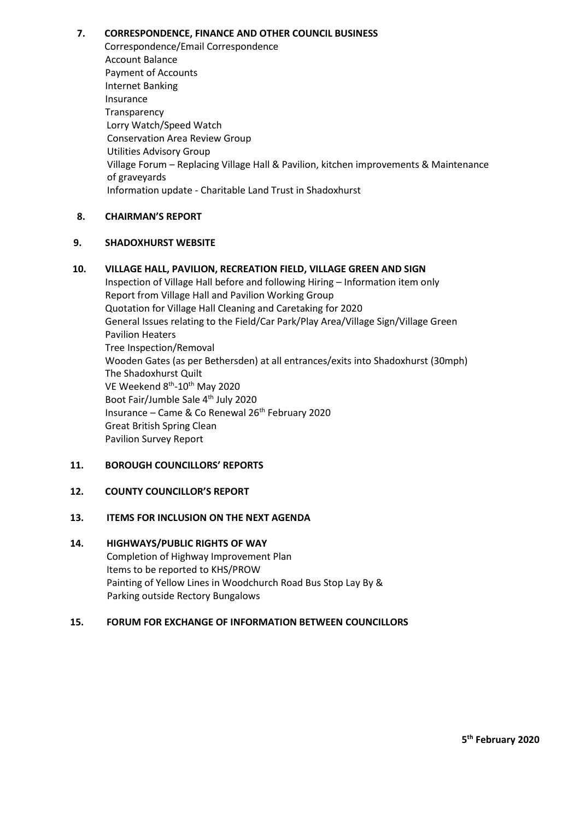#### **7. CORRESPONDENCE, FINANCE AND OTHER COUNCIL BUSINESS**

Correspondence/Email Correspondence Account Balance Payment of Accounts Internet Banking Insurance **Transparency** Lorry Watch/Speed Watch Conservation Area Review Group Utilities Advisory Group Village Forum – Replacing Village Hall & Pavilion, kitchen improvements & Maintenance of graveyards Information update - Charitable Land Trust in Shadoxhurst

#### **8. CHAIRMAN'S REPORT**

#### **9. SHADOXHURST WEBSITE**

**10. VILLAGE HALL, PAVILION, RECREATION FIELD, VILLAGE GREEN AND SIGN** Inspection of Village Hall before and following Hiring – Information item only Report from Village Hall and Pavilion Working Group Quotation for Village Hall Cleaning and Caretaking for 2020 General Issues relating to the Field/Car Park/Play Area/Village Sign/Village Green Pavilion Heaters Tree Inspection/Removal Wooden Gates (as per Bethersden) at all entrances/exits into Shadoxhurst (30mph) The Shadoxhurst Quilt VE Weekend 8<sup>th</sup>-10<sup>th</sup> May 2020 Boot Fair/Jumble Sale 4<sup>th</sup> July 2020 Insurance – Came & Co Renewal 26th February 2020 Great British Spring Clean Pavilion Survey Report

# **11. BOROUGH COUNCILLORS' REPORTS**

# **12. COUNTY COUNCILLOR'S REPORT**

#### **13. ITEMS FOR INCLUSION ON THE NEXT AGENDA**

# **14. HIGHWAYS/PUBLIC RIGHTS OF WAY**

Completion of Highway Improvement Plan Items to be reported to KHS/PROW Painting of Yellow Lines in Woodchurch Road Bus Stop Lay By & Parking outside Rectory Bungalows

#### **15. FORUM FOR EXCHANGE OF INFORMATION BETWEEN COUNCILLORS**